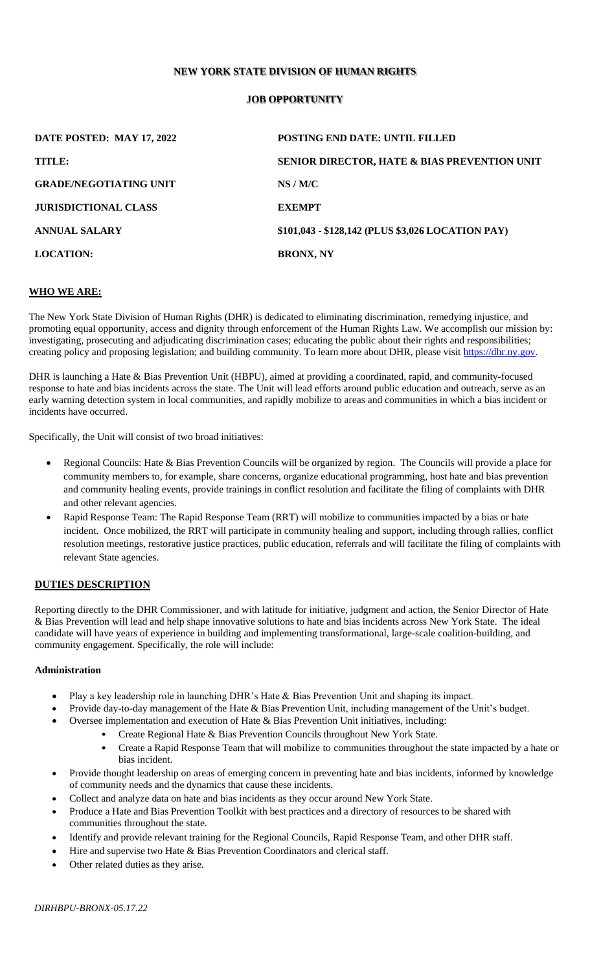### **NEW YORK STATE DIVISION OF HUMAN RIGHTS**

### **JOB OPPORTUNITY**

| DATE POSTED: MAY 17, 2022     | <b>POSTING END DATE: UNTIL FILLED</b>             |
|-------------------------------|---------------------------------------------------|
| TITLE:                        | SENIOR DIRECTOR, HATE & BIAS PREVENTION UNIT      |
| <b>GRADE/NEGOTIATING UNIT</b> | NS/M/C                                            |
| <b>JURISDICTIONAL CLASS</b>   | <b>EXEMPT</b>                                     |
| <b>ANNUAL SALARY</b>          | \$101,043 - \$128,142 (PLUS \$3,026 LOCATION PAY) |
| <b>LOCATION:</b>              | <b>BRONX, NY</b>                                  |

#### **WHO WE ARE:**

The New York State Division of Human Rights (DHR) is dedicated to eliminating discrimination, remedying injustice, and promoting equal opportunity, access and dignity through enforcement of the Human Rights Law. We accomplish our mission by: investigating, prosecuting and adjudicating discrimination cases; educating the public about their rights and responsibilities; creating policy and proposing legislation; and building community. To learn more about DHR, please visit [https://dhr.ny.gov.](https://dhr.ny.gov/)

DHR is launching a Hate & Bias Prevention Unit (HBPU), aimed at providing a coordinated, rapid, and community-focused response to hate and bias incidents across the state. The Unit will lead efforts around public education and outreach, serve as an early warning detection system in local communities, and rapidly mobilize to areas and communities in which a bias incident or incidents have occurred.

Specifically, the Unit will consist of two broad initiatives:

- Regional Councils: Hate & Bias Prevention Councils will be organized by region. The Councils will provide a place for community members to, for example, share concerns, organize educational programming, host hate and bias prevention and community healing events, provide trainings in conflict resolution and facilitate the filing of complaints with DHR and other relevant agencies.
- Rapid Response Team: The Rapid Response Team (RRT) will mobilize to communities impacted by a bias or hate incident. Once mobilized, the RRT will participate in community healing and support, including through rallies, conflict resolution meetings, restorative justice practices, public education, referrals and will facilitate the filing of complaints with relevant State agencies.

#### **DUTIES DESCRIPTION**

Reporting directly to the DHR Commissioner, and with latitude for initiative, judgment and action, the Senior Director of Hate & Bias Prevention will lead and help shape innovative solutions to hate and bias incidents across New York State. The ideal candidate will have years of experience in building and implementing transformational, large-scale coalition-building, and community engagement. Specifically, the role will include:

#### **Administration**

- Play a key leadership role in launching DHR's Hate & Bias Prevention Unit and shaping its impact.
- Provide day-to-day management of the Hate & Bias Prevention Unit, including management of the Unit's budget.
- Oversee implementation and execution of Hate & Bias Prevention Unit initiatives, including:
	- Create Regional Hate & Bias Prevention Councils throughout New York State.
	- Create a Rapid Response Team that will mobilize to communities throughout the state impacted by a hate or bias incident.
- Provide thought leadership on areas of emerging concern in preventing hate and bias incidents, informed by knowledge of community needs and the dynamics that cause these incidents.
- Collect and analyze data on hate and bias incidents as they occur around New York State.
- Produce a Hate and Bias Prevention Toolkit with best practices and a directory of resources to be shared with communities throughout the state.
- Identify and provide relevant training for the Regional Councils, Rapid Response Team, and other DHR staff.
- Hire and supervise two Hate & Bias Prevention Coordinators and clerical staff.
- Other related duties as they arise.